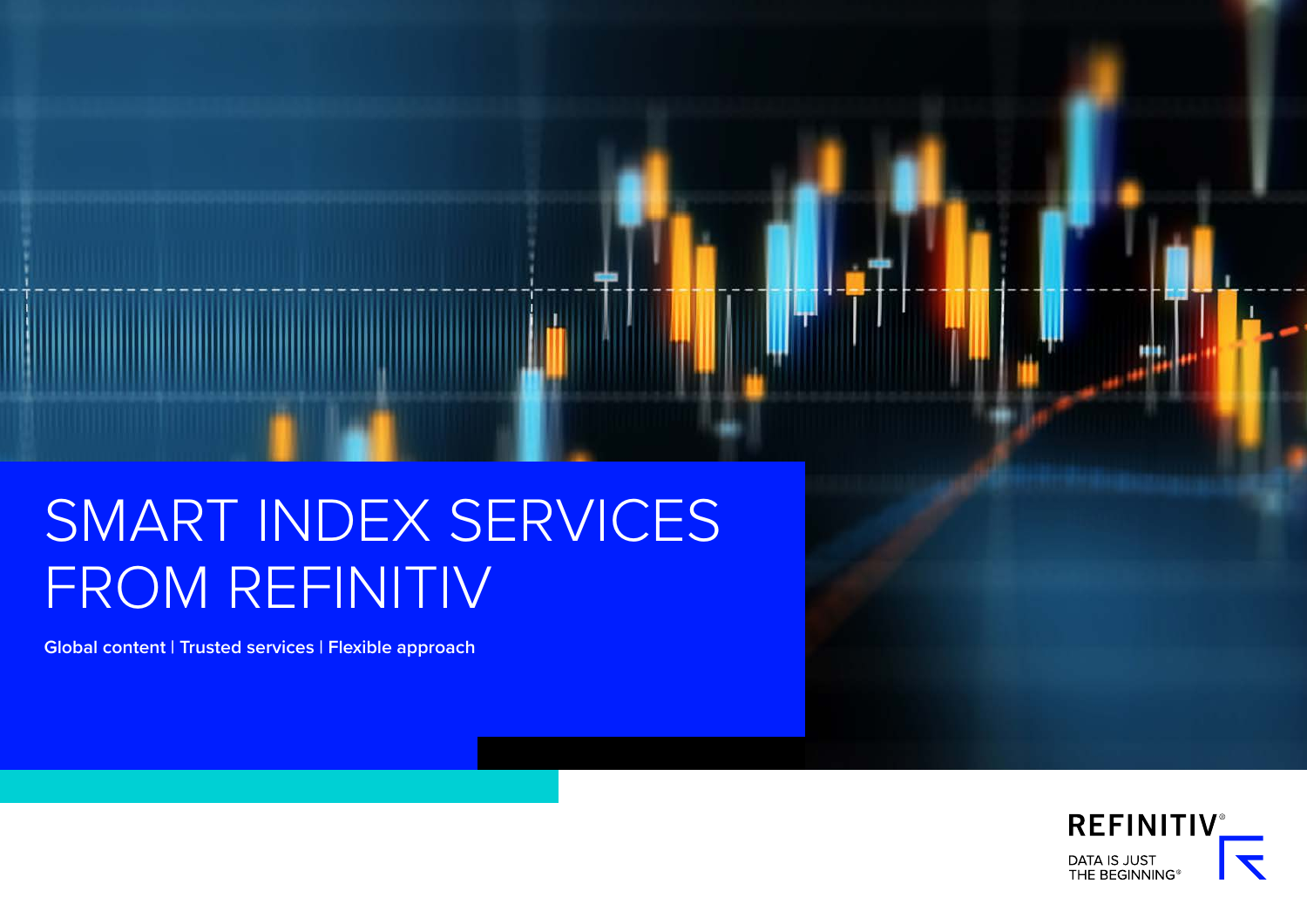# SMART INDEX SERVICES FROM REFINITIV

**Global content | Trusted services | Flexible approach**

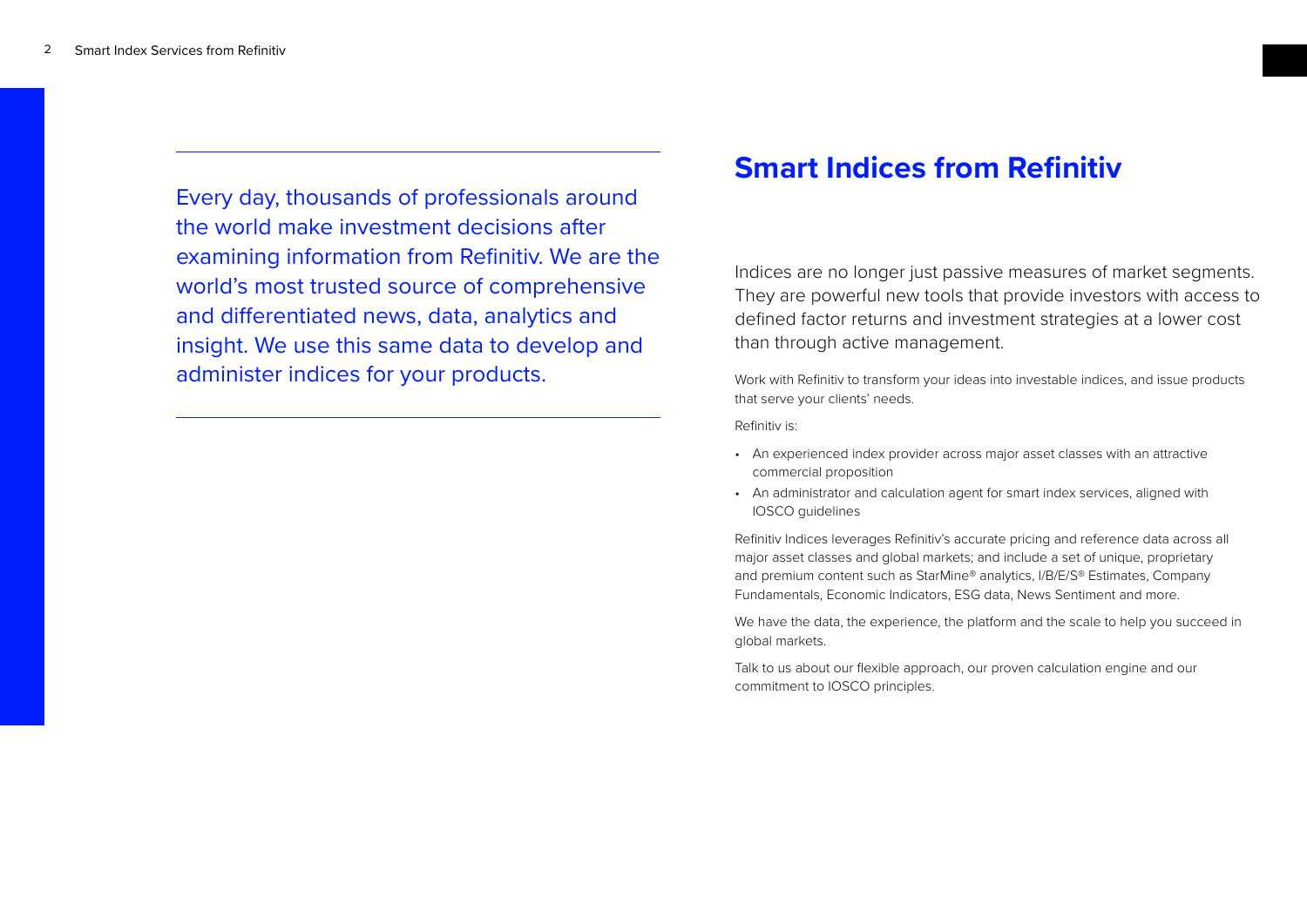Every day, thousands of professionals around the world make investment decisions after examining information from Refinitiv. We are the world's most trusted source of comprehensive and differentiated news, data, analytics and insight. We use this same data to develop and administer indices for your products.

### **Smart Indices from Refinitiv**

Indices are no longer just passive measures of market segments. They are powerful new tools that provide investors with access to defined factor returns and investment strategies at a lower cost than through active management.

Work with Refinitiv to transform your ideas into investable indices, and issue products that serve your clients' needs.

Refinitiv is:

- An experienced index provider across major asset classes with an attractive commercial proposition
- An administrator and calculation agent for smart index services, aligned with IOSCO guidelines

Refinitiv Indices leverages Refinitiv's accurate pricing and reference data across all major asset classes and global markets; and include a set of unique, proprietary and premium content such as StarMine® analytics, I/B/E/S® Estimates, Company Fundamentals, Economic Indicators, ESG data, News Sentiment and more.

We have the data, the experience, the platform and the scale to help you succeed in global markets.

Talk to us about our flexible approach, our proven calculation engine and our commitment to IOSCO principles.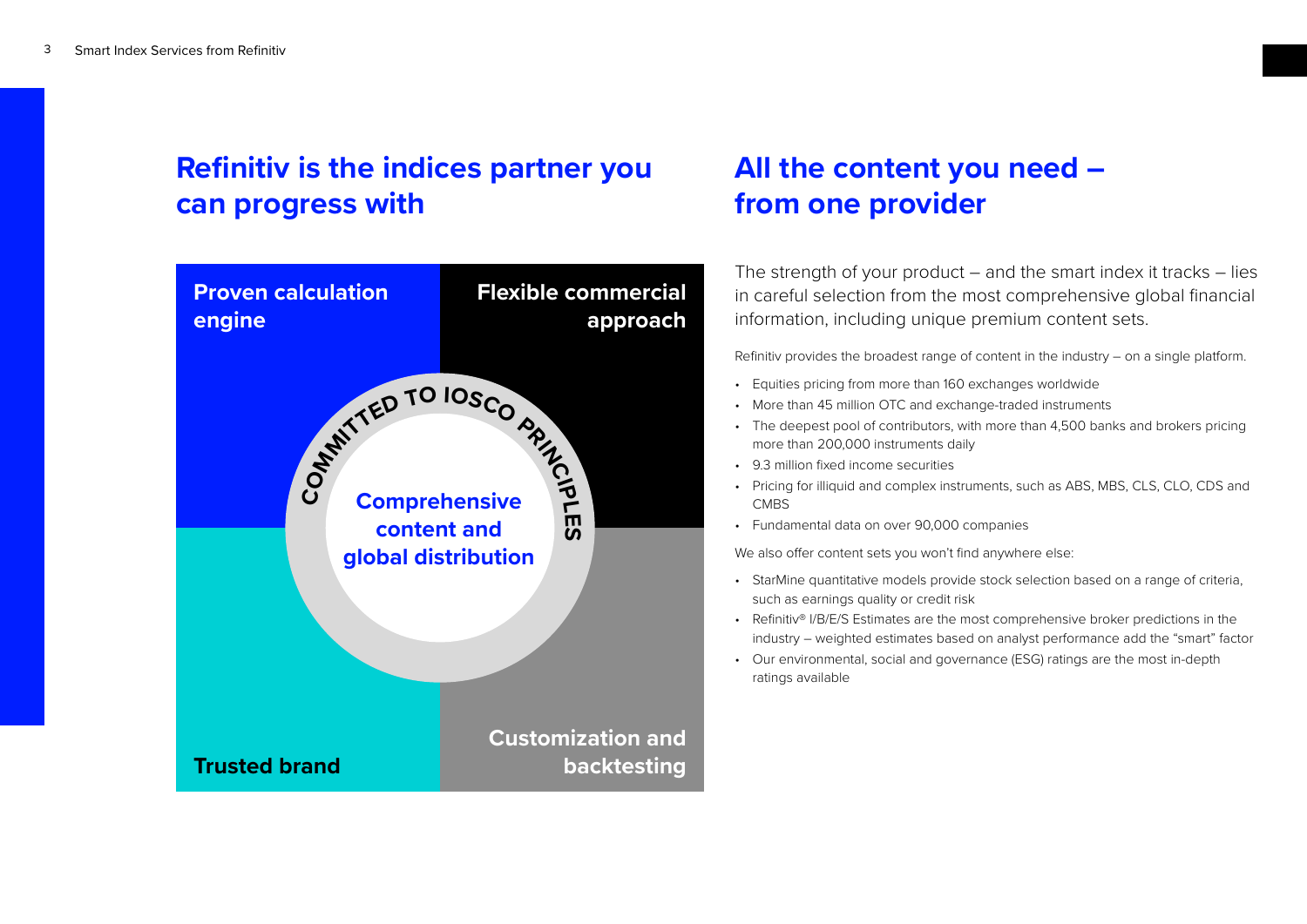### **Refinitiv is the indices partner you can progress with**



### **All the content you need – from one provider**

The strength of your product – and the smart index it tracks – lies in careful selection from the most comprehensive global financial information, including unique premium content sets.

Refinitiv provides the broadest range of content in the industry – on a single platform.

- Equities pricing from more than 160 exchanges worldwide
- More than 45 million OTC and exchange-traded instruments
- The deepest pool of contributors, with more than 4,500 banks and brokers pricing more than 200,000 instruments daily
- 9.3 million fixed income securities
- Pricing for illiquid and complex instruments, such as ABS, MBS, CLS, CLO, CDS and CMBS
- Fundamental data on over 90,000 companies

We also offer content sets you won't find anywhere else:

- StarMine quantitative models provide stock selection based on a range of criteria, such as earnings quality or credit risk
- Refinitiv® I/B/E/S Estimates are the most comprehensive broker predictions in the industry – weighted estimates based on analyst performance add the "smart" factor
- Our environmental, social and governance (ESG) ratings are the most in-depth ratings available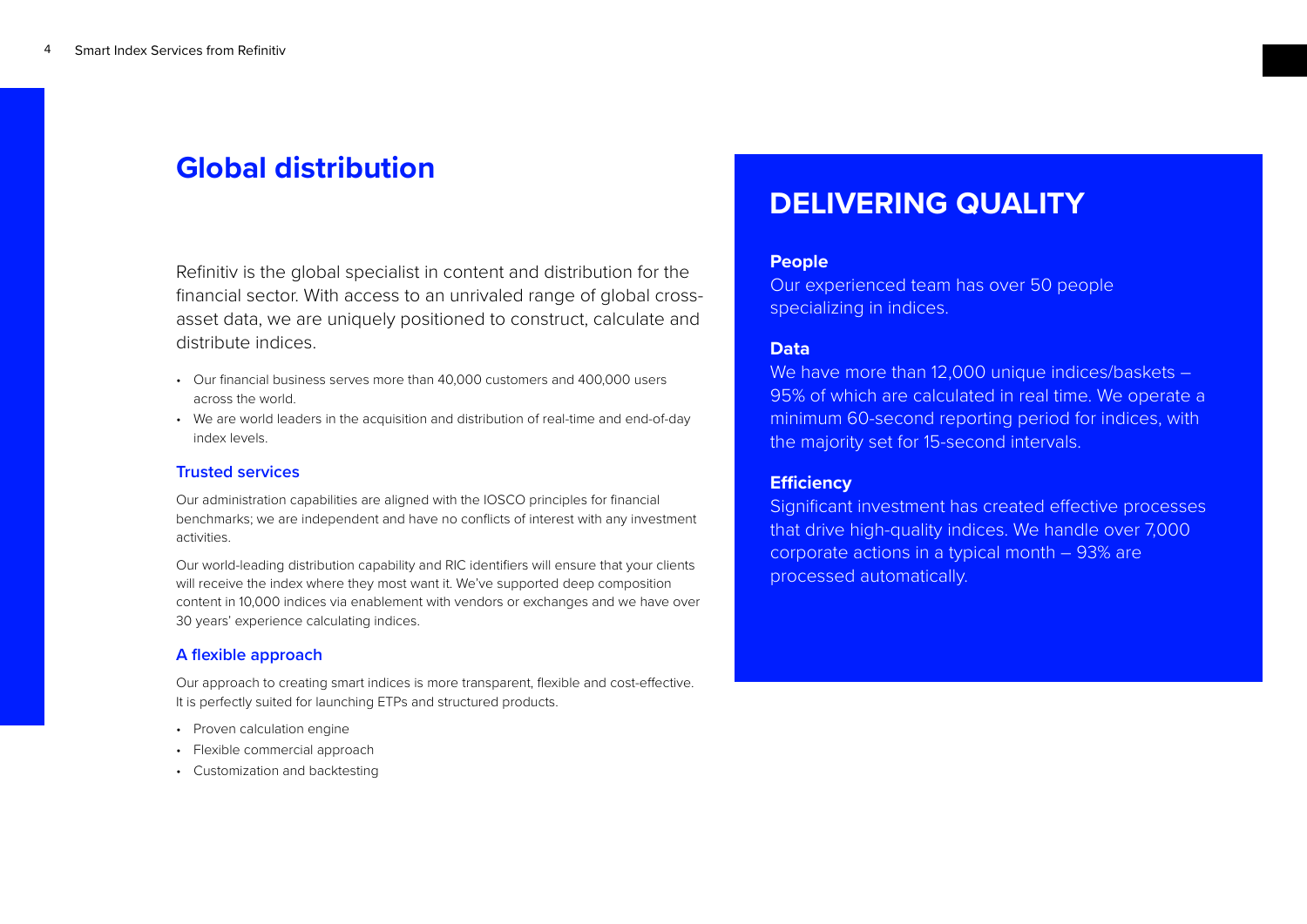### **Global distribution**

Refinitiv is the global specialist in content and distribution for the financial sector. With access to an unrivaled range of global crossasset data, we are uniquely positioned to construct, calculate and distribute indices.

- Our financial business serves more than 40,000 customers and 400,000 users across the world.
- We are world leaders in the acquisition and distribution of real-time and end-of-day index levels.

#### **Trusted services**

Our administration capabilities are aligned with the IOSCO principles for financial benchmarks; we are independent and have no conflicts of interest with any investment activities.

Our world-leading distribution capability and RIC identifiers will ensure that your clients will receive the index where they most want it. We've supported deep composition content in 10,000 indices via enablement with vendors or exchanges and we have over 30 years' experience calculating indices.

#### **A flexible approach**

Our approach to creating smart indices is more transparent, flexible and cost-effective. It is perfectly suited for launching ETPs and structured products.

- Proven calculation engine
- Flexible commercial approach
- Customization and backtesting

### **DELIVERING QUALITY**

#### **People**

Our experienced team has over 50 people specializing in indices.

#### **Data**

We have more than 12,000 unique indices/baskets -95% of which are calculated in real time. We operate a minimum 60-second reporting period for indices, with the majority set for 15-second intervals.

#### **Efficiency**

Significant investment has created effective processes that drive high-quality indices. We handle over 7,000 corporate actions in a typical month – 93% are processed automatically.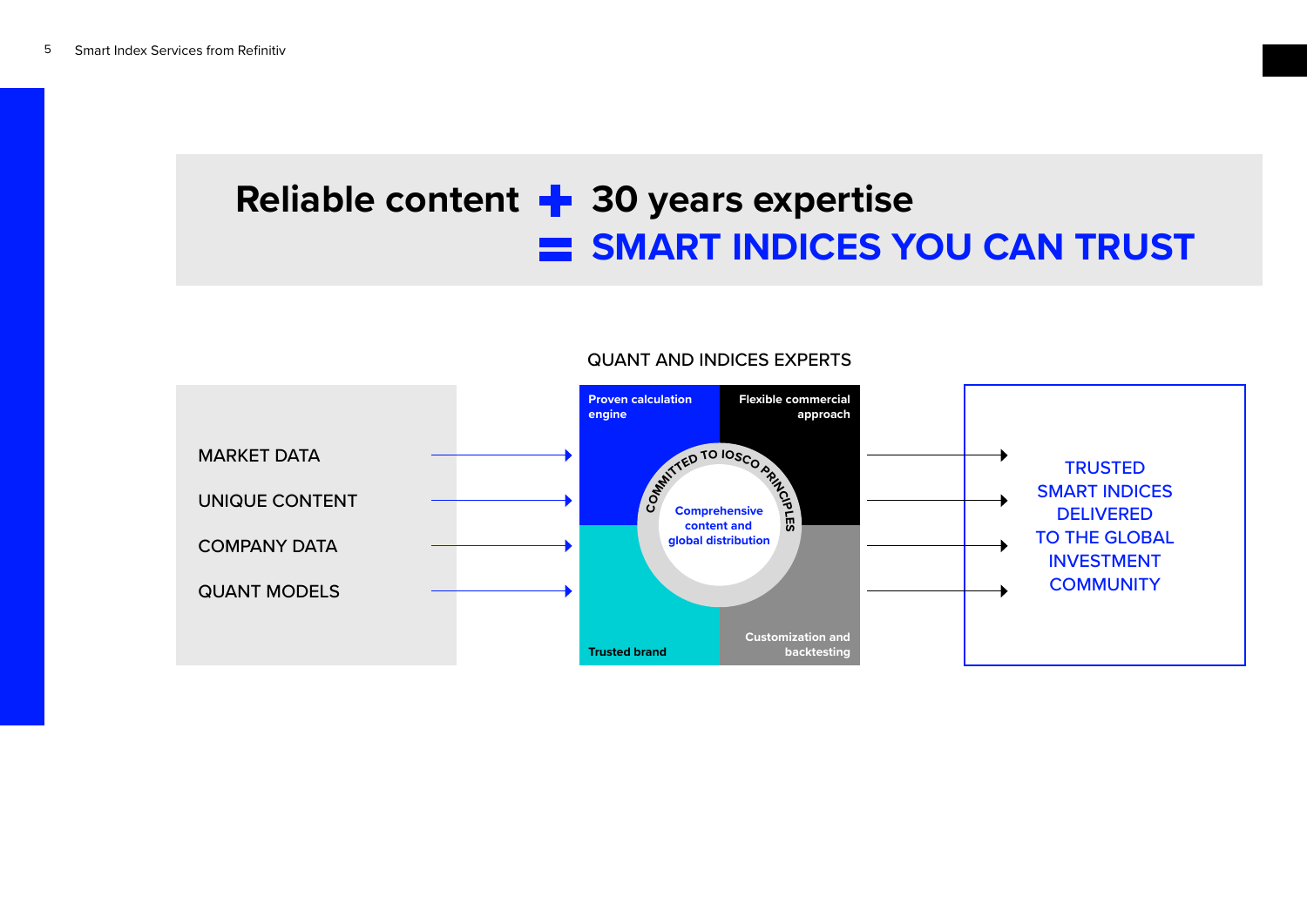## **Reliable content + 30 years expertise EXTERNATE INDICES YOU CAN TRUST**



#### QUANT AND INDICES EXPERTS